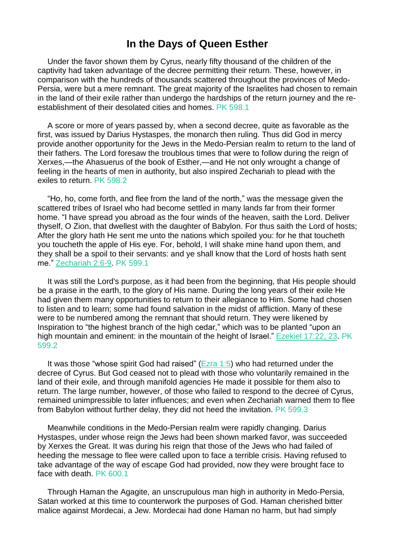## **In the Days of Queen Esther**

Under the favor shown them by Cyrus, nearly fifty thousand of the children of the captivity had taken advantage of the decree permitting their return. These, however, in comparison with the hundreds of thousands scattered throughout the provinces of Medo-Persia, were but a mere remnant. The great majority of the Israelites had chosen to remain in the land of their exile rather than undergo the hardships of the return journey and the reestablishment of their desolated cities and homes. PK 598.1

A score or more of years passed by, when a second decree, quite as favorable as the first, was issued by Darius Hystaspes, the monarch then ruling. Thus did God in mercy provide another opportunity for the Jews in the Medo-Persian realm to return to the land of their fathers. The Lord foresaw the troublous times that were to follow during the reign of Xerxes,—the Ahasuerus of the book of Esther,—and He not only wrought a change of feeling in the hearts of men in authority, but also inspired Zechariah to plead with the exiles to return. PK 598.2

"Ho, ho, come forth, and flee from the land of the north," was the message given the scattered tribes of Israel who had become settled in many lands far from their former home. "I have spread you abroad as the four winds of the heaven, saith the Lord. Deliver thyself, O Zion, that dwellest with the daughter of Babylon. For thus saith the Lord of hosts; After the glory hath He sent me unto the nations which spoiled you: for he that toucheth you toucheth the apple of His eye. For, behold, I will shake mine hand upon them, and they shall be a spoil to their servants: and ye shall know that the Lord of hosts hath sent me." [Zechariah](https://m.egwwritings.org/en/book/1965.46764#46764) 2:6-9. PK 599.1

It was still the Lord's purpose, as it had been from the beginning, that His people should be a praise in the earth, to the glory of His name. During the long years of their exile He had given them many opportunities to return to their allegiance to Him. Some had chosen to listen and to learn; some had found salvation in the midst of affliction. Many of these were to be numbered among the remnant that should return. They were likened by Inspiration to "the highest branch of the high cedar," which was to be planted "upon an high mountain and eminent: in the mountain of the height of Israel." [Ezekiel](https://m.egwwritings.org/en/book/1965.42542#42542) 17:22, 23. PK 599.2

It was those "whose spirit God had raised" ( $Ezra 1:5$ ) who had returned under the decree of Cyrus. But God ceased not to plead with those who voluntarily remained in the land of their exile, and through manifold agencies He made it possible for them also to return. The large number, however, of those who failed to respond to the decree of Cyrus, remained unimpressible to later influences; and even when Zechariah warned them to flee from Babylon without further delay, they did not heed the invitation. PK 599.3

Meanwhile conditions in the Medo-Persian realm were rapidly changing. Darius Hystaspes, under whose reign the Jews had been shown marked favor, was succeeded by Xerxes the Great. It was during his reign that those of the Jews who had failed of heeding the message to flee were called upon to face a terrible crisis. Having refused to take advantage of the way of escape God had provided, now they were brought face to face with death. PK 600.1

Through Haman the Agagite, an unscrupulous man high in authority in Medo-Persia, Satan worked at this time to counterwork the purposes of God. Haman cherished bitter malice against Mordecai, a Jew. Mordecai had done Haman no harm, but had simply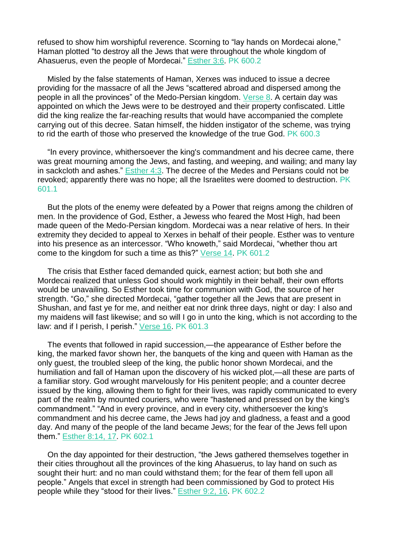refused to show him worshipful reverence. Scorning to "lay hands on Mordecai alone," Haman plotted "to destroy all the Jews that were throughout the whole kingdom of Ahasuerus, even the people of Mordecai." [Esther](https://m.egwwritings.org/en/book/1965.25955#25955) 3:6. PK 600.2

Misled by the false statements of Haman, Xerxes was induced to issue a decree providing for the massacre of all the Jews "scattered abroad and dispersed among the people in all the provinces" of the Medo-Persian kingdom. [Verse](https://m.egwwritings.org/en/book/1965.25959#25959) 8. A certain day was appointed on which the Jews were to be destroyed and their property confiscated. Little did the king realize the far-reaching results that would have accompanied the complete carrying out of this decree. Satan himself, the hidden instigator of the scheme, was trying to rid the earth of those who preserved the knowledge of the true God. PK 600.3

"In every province, whithersoever the king's commandment and his decree came, there was great mourning among the Jews, and fasting, and weeping, and wailing; and many lay in sackcloth and ashes." [Esther](https://m.egwwritings.org/en/book/1965.25980#25980) 4:3. The decree of the Medes and Persians could not be revoked; apparently there was no hope; all the Israelites were doomed to destruction. PK 601.1

But the plots of the enemy were defeated by a Power that reigns among the children of men. In the providence of God, Esther, a Jewess who feared the Most High, had been made queen of the Medo-Persian kingdom. Mordecai was a near relative of hers. In their extremity they decided to appeal to Xerxes in behalf of their people. Esther was to venture into his presence as an intercessor. "Who knoweth," said Mordecai, "whether thou art come to the kingdom for such a time as this?" [Verse](https://m.egwwritings.org/en/book/1965.26002#26002) 14. PK 601.2

The crisis that Esther faced demanded quick, earnest action; but both she and Mordecai realized that unless God should work mightily in their behalf, their own efforts would be unavailing. So Esther took time for communion with God, the source of her strength. "Go," she directed Mordecai, "gather together all the Jews that are present in Shushan, and fast ye for me, and neither eat nor drink three days, night or day: I also and my maidens will fast likewise; and so will I go in unto the king, which is not according to the law: and if I perish, I perish." [Verse](https://m.egwwritings.org/en/book/1965.26006#26006) 16. PK 601.3

The events that followed in rapid succession,—the appearance of Esther before the king, the marked favor shown her, the banquets of the king and queen with Haman as the only guest, the troubled sleep of the king, the public honor shown Mordecai, and the humiliation and fall of Haman upon the discovery of his wicked plot,—all these are parts of a familiar story. God wrought marvelously for His penitent people; and a counter decree issued by the king, allowing them to fight for their lives, was rapidly communicated to every part of the realm by mounted couriers, who were "hastened and pressed on by the king's commandment." "And in every province, and in every city, whithersoever the king's commandment and his decree came, the Jews had joy and gladness, a feast and a good day. And many of the people of the land became Jews; for the fear of the Jews fell upon them." [Esther](https://m.egwwritings.org/en/book/1965.26116#26116) 8:14, 17. PK 602.1

On the day appointed for their destruction, "the Jews gathered themselves together in their cities throughout all the provinces of the king Ahasuerus, to lay hand on such as sought their hurt: and no man could withstand them; for the fear of them fell upon all people." Angels that excel in strength had been commissioned by God to protect His people while they "stood for their lives." [Esther](https://m.egwwritings.org/en/book/1965.26127#26127) 9:2, 16. PK 602.2